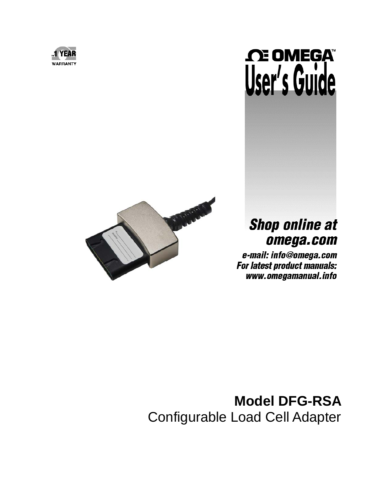

# **NEGA** User's Guide



# **Shop online at** omega.com

e-mail: info@omega.com For latest product manuals: www.omegamanual.info

# **Model DFG-RSA**  Configurable Load Cell Adapter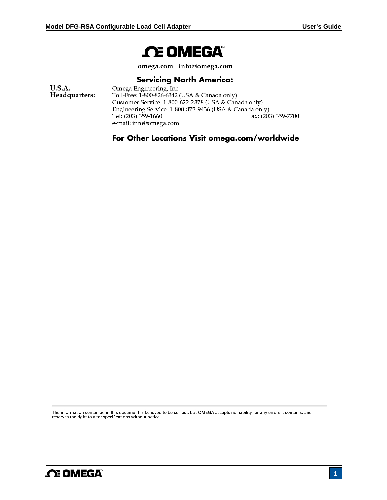# **NEGA**

omega.com info@omega.com

### **Servicing North America:**

**U.S.A.** Omega Engineering, Inc. Headquarters: Toll-Free: 1-800-826-6342 (USA & Canada only) Customer Service: 1-800-622-2378 (USA & Canada only) Engineering Service: 1-800-872-9436 (USA & Canada only) Tel: (203) 359-1660 Fax: (203) 359-7700 e-mail: info@omega.com

# For Other Locations Visit omega.com/worldwide

The information contained in this document is believed to be correct, but OMEGA accepts no liability for any errors it contains, and reserves the right to alter specifications without notice.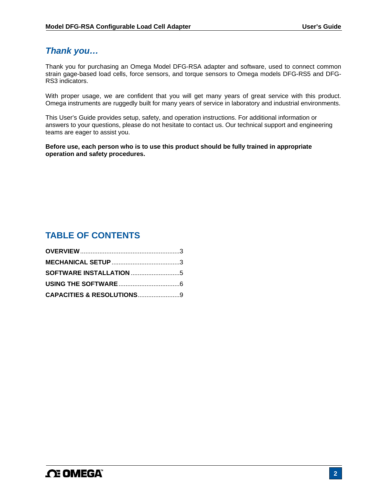# *Thank you…*

Thank you for purchasing an Omega Model DFG-RSA adapter and software, used to connect common strain gage-based load cells, force sensors, and torque sensors to Omega models DFG-RS5 and DFG-RS3 indicators.

With proper usage, we are confident that you will get many years of great service with this product. Omega instruments are ruggedly built for many years of service in laboratory and industrial environments.

This User's Guide provides setup, safety, and operation instructions. For additional information or answers to your questions, please do not hesitate to contact us. Our technical support and engineering teams are eager to assist you.

**Before use, each person who is to use this product should be fully trained in appropriate operation and safety procedures.** 

# **TABLE OF CONTENTS**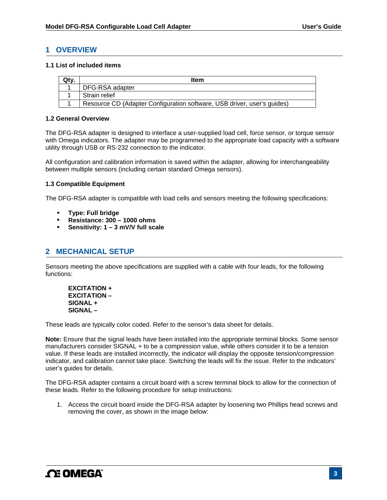#### **1 OVERVIEW**

#### **1.1 List of included items**

| Qty. | Item                                                                    |
|------|-------------------------------------------------------------------------|
|      | DFG-RSA adapter                                                         |
|      | Strain relief                                                           |
|      | Resource CD (Adapter Configuration software, USB driver, user's guides) |

#### **1.2 General Overview**

The DFG-RSA adapter is designed to interface a user-supplied load cell, force sensor, or torque sensor with Omega indicators. The adapter may be programmed to the appropriate load capacity with a software utility through USB or RS-232 connection to the indicator.

All configuration and calibration information is saved within the adapter, allowing for interchangeability between multiple sensors (including certain standard Omega sensors).

#### **1.3 Compatible Equipment**

The DFG-RSA adapter is compatible with load cells and sensors meeting the following specifications:

- **Type: Full bridge**
- **Resistance: 300 1000 ohms**
- **Sensitivity: 1 3 mV/V full scale**

#### **2 MECHANICAL SETUP**

Sensors meeting the above specifications are supplied with a cable with four leads, for the following functions:

**EXCITATION + EXCITATION – SIGNAL + SIGNAL –** 

These leads are typically color coded. Refer to the sensor's data sheet for details.

**Note:** Ensure that the signal leads have been installed into the appropriate terminal blocks. Some sensor manufacturers consider SIGNAL + to be a compression value, while others consider it to be a tension value. If these leads are installed incorrectly, the indicator will display the opposite tension/compression indicator, and calibration cannot take place. Switching the leads will fix the issue. Refer to the indicators' user's guides for details.

The DFG-RSA adapter contains a circuit board with a screw terminal block to allow for the connection of these leads. Refer to the following procedure for setup instructions:

1. Access the circuit board inside the DFG-RSA adapter by loosening two Phillips head screws and removing the cover, as shown in the image below: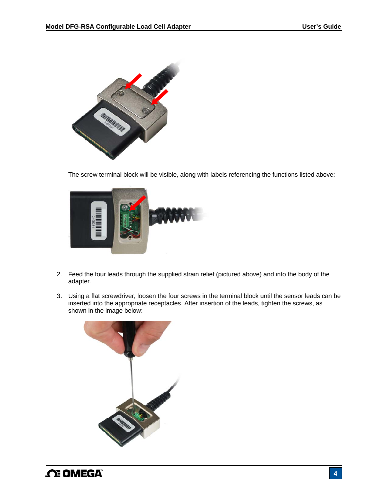

The screw terminal block will be visible, along with labels referencing the functions listed above:



- 2. Feed the four leads through the supplied strain relief (pictured above) and into the body of the adapter.
- 3. Using a flat screwdriver, loosen the four screws in the terminal block until the sensor leads can be inserted into the appropriate receptacles. After insertion of the leads, tighten the screws, as shown in the image below:

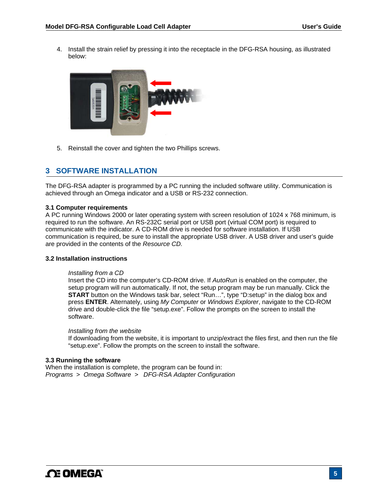4. Install the strain relief by pressing it into the receptacle in the DFG-RSA housing, as illustrated below:



5. Reinstall the cover and tighten the two Phillips screws.

### **3 SOFTWARE INSTALLATION**

The DFG-RSA adapter is programmed by a PC running the included software utility. Communication is achieved through an Omega indicator and a USB or RS-232 connection.

#### **3.1 Computer requirements**

A PC running Windows 2000 or later operating system with screen resolution of 1024 x 768 minimum, is required to run the software. An RS-232C serial port or USB port (virtual COM port) is required to communicate with the indicator. A CD-ROM drive is needed for software installation. If USB communication is required, be sure to install the appropriate USB driver. A USB driver and user's guide are provided in the contents of the *Resource CD.*

#### **3.2 Installation instructions**

#### *Installing from a CD*

Insert the CD into the computer's CD-ROM drive. If *AutoRun* is enabled on the computer, the setup program will run automatically. If not, the setup program may be run manually. Click the **START** button on the Windows task bar, select "Run…", type "D:setup" in the dialog box and press **ENTER**. Alternately, using *My Computer* or *Windows Explorer*, navigate to the CD-ROM drive and double-click the file "setup.exe". Follow the prompts on the screen to install the software.

#### *Installing from the website*

If downloading from the website, it is important to unzip/extract the files first, and then run the file "setup.exe". Follow the prompts on the screen to install the software.

#### **3.3 Running the software**

When the installation is complete, the program can be found in: *Programs* > *Omega Software > DFG-RSA Adapter Configuration*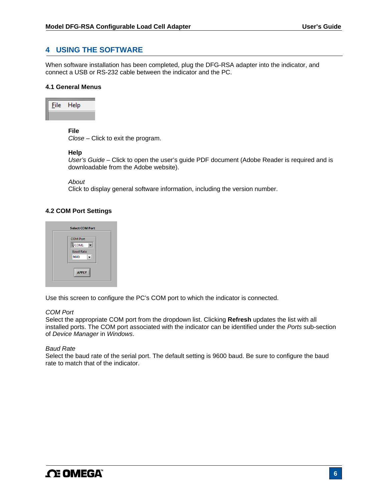#### **4 USING THE SOFTWARE**

When software installation has been completed, plug the DFG-RSA adapter into the indicator, and connect a USB or RS-232 cable between the indicator and the PC.

#### **4.1 General Menus**



#### **File**

*Close –* Click to exit the program.

#### **Help**

*User's Guide –* Click to open the user's guide PDF document (Adobe Reader is required and is downloadable from the Adobe website).

*About* 

Click to display general software information, including the version number.

#### **4.2 COM Port Settings**



Use this screen to configure the PC's COM port to which the indicator is connected.

#### *COM Port*

Select the appropriate COM port from the dropdown list. Clicking **Refresh** updates the list with all installed ports. The COM port associated with the indicator can be identified under the *Ports* sub-section of *Device Manager* in *Windows*.

#### *Baud Rate*

Select the baud rate of the serial port. The default setting is 9600 baud. Be sure to configure the baud rate to match that of the indicator.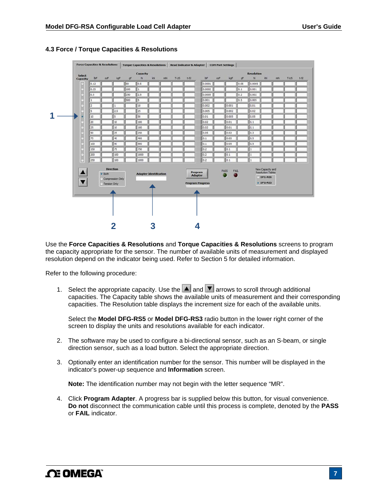

#### **4.3 Force / Torque Capacities & Resolutions**

Use the **Force Capacities & Resolutions** and **Torque Capacities & Resolutions** screens to program the capacity appropriate for the sensor. The number of available units of measurement and displayed resolution depend on the indicator being used. Refer to Section 5 for detailed information.

Refer to the following procedure:

1. Select the appropriate capacity. Use the  $\blacktriangle$  and  $\blacktriangledown$  arrows to scroll through additional capacities. The Capacity table shows the available units of measurement and their corresponding capacities. The Resolution table displays the increment size for each of the available units.

Select the **Model DFG-RS5** or **Model DFG-RS3** radio button in the lower right corner of the screen to display the units and resolutions available for each indicator.

- 2. The software may be used to configure a bi-directional sensor, such as an S-beam, or single direction sensor, such as a load button. Select the appropriate direction.
- 3. Optionally enter an identification number for the sensor. This number will be displayed in the indicator's power-up sequence and **Information** screen.

**Note:** The identification number may not begin with the letter sequence "MR".

4. Click **Program Adapter**. A progress bar is supplied below this button, for visual convenience. **Do not** disconnect the communication cable until this process is complete, denoted by the **PASS** or **FAIL** indicator.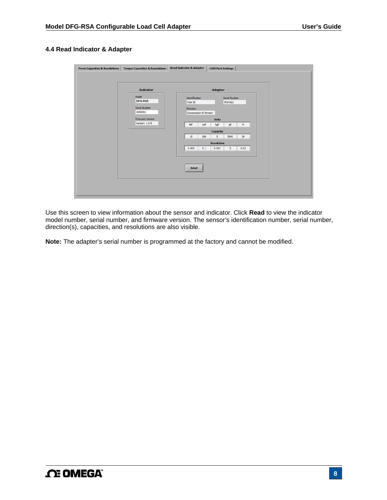#### **4.4 Read Indicator & Adapter**

| <b>Indicator</b> |                       |     | <b>Adapter</b>    |                |           |  |
|------------------|-----------------------|-----|-------------------|----------------|-----------|--|
| Model            | Identification        |     |                   | Serial Number  |           |  |
| DFG-RS5          | Your ID               |     |                   | 7654321        |           |  |
| Serial Number    | Direction             |     |                   |                |           |  |
| 1000001          | Compression & Tension |     |                   |                |           |  |
| Firmware Version |                       |     | <b>Units</b>      |                |           |  |
| Version: 1.0.9   | bF                    | ozF | kgF               | gF             | ${\sf N}$ |  |
|                  |                       |     | Capacity          |                |           |  |
|                  | 10                    | 160 | 5                 | 5000           | 50        |  |
|                  |                       |     | <b>Resolution</b> |                |           |  |
|                  | 0.005                 | 0.1 | 0.002             | $\overline{z}$ | 0.02      |  |
|                  | Read                  |     |                   |                |           |  |

Use this screen to view information about the sensor and indicator. Click **Read** to view the indicator model number, serial number, and firmware version. The sensor's identification number, serial number, direction(s), capacities, and resolutions are also visible.

**Note:** The adapter's serial number is programmed at the factory and cannot be modified.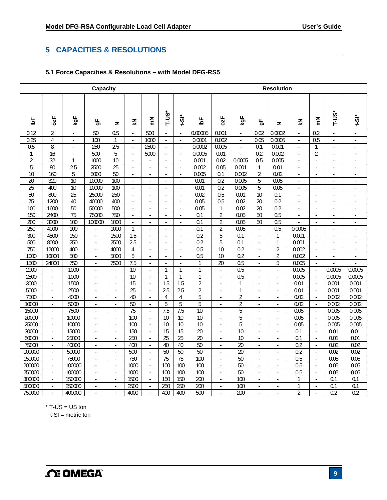# **5 CAPACITIES & RESOLUTIONS**

#### **5.1 Force Capacities & Resolutions – with Model DFG-RS5**

| <b>Capacity</b> |                 |                 |                                    |                          |                          |                          |                  | <b>Resolution</b>        |                         |                             |                         |                |                          |                  |                                |                          |                           |
|-----------------|-----------------|-----------------|------------------------------------|--------------------------|--------------------------|--------------------------|------------------|--------------------------|-------------------------|-----------------------------|-------------------------|----------------|--------------------------|------------------|--------------------------------|--------------------------|---------------------------|
| 헐               | 0zF             | kgF             | ௲                                  | z                        | $\vec{z}$                | $\sum_{i=1}^{n}$         | F-US*            | <u>÷Si</u>               | ঌ                       | ozF                         | kgF                     | ௲              | z                        | $\vec{z}$        | $\sum_{i=1}^{n}$               | T-US*                    | $\frac{1}{2}$             |
| 0.12            | 2               | ÷,              | 50                                 | 0.5                      | $\Box$                   | 500                      |                  | ×.                       | 0.00005                 | 0.001                       | L.                      | 0.02           | 0.0002                   | ÷.               | 0.2                            | ÷,                       | $\overline{\phantom{a}}$  |
| 0.25            | $\overline{4}$  | ÷.              | 100                                | $\mathbf{1}$             | $\overline{\phantom{a}}$ | 1000                     | ä,               | $\overline{\phantom{a}}$ | 0.0001                  | 0.002                       | ä,                      | 0.05           | 0.0005                   | ÷.               | $\overline{0.5}$               | $\overline{\phantom{a}}$ | $\blacksquare$            |
| 0.5             | 8               | ×.              | 250                                | $\overline{2.5}$         | ÷.                       | 2500                     | ×.               | ×.                       | 0.0002                  | 0.005                       | L.                      | 0.1            | 0.001                    | ×.               | $\mathbf{1}$                   | ÷                        | ÷.                        |
| $\mathbf{1}$    | $\overline{16}$ |                 | 500                                | 5                        | L.                       | 5000                     | J.               | ÷,                       | 0.0005                  | 0.01                        |                         | 0.2            | 0.002                    | ÷,               | $\overline{2}$                 |                          | ä,                        |
| $\overline{2}$  | 32              | $\mathbf{1}$    | 1000                               | 10                       | $\mathbf{r}$             | ä,                       | $\sim$           | ÷.                       | 0.001                   | 0.02                        | 0.0005                  | 0.5            | 0.005                    | $\blacksquare$   | $\overline{\phantom{a}}$       | ä,                       | ×.                        |
| $\overline{5}$  | 80              | 2.5             | 2500                               | 25                       | $\mathcal{L}$            | $\sim$                   | $\sim$           | $\sim$                   | 0.002                   | 0.05                        | 0.001                   | 1              | 0.01                     | $\sim$           | ÷,                             | ä,                       | $\sim$                    |
| $\overline{10}$ | 160             | 5               | 5000                               | 50                       | $\mathbf{r}$             | ÷.                       | $\sim$           | ÷,                       | 0.005                   | 0.1                         | 0.002                   | $\overline{2}$ | 0.02                     | $\mathbf{r}$     | ÷.                             | $\sim$                   | $\sim$                    |
| $\overline{20}$ | 320             | 10              | 10000                              | 100                      | $\blacksquare$           | ÷,                       |                  | $\overline{\phantom{a}}$ | 0.01                    | $\overline{0.2}$            | 0.005                   | 5              | 0.05                     | ÷,               | ÷,                             | ÷                        | $\blacksquare$            |
| $\overline{25}$ | 400             | $\overline{10}$ | 10000                              | 100                      | ×.                       | ÷.                       | $\overline{a}$   | ÷.                       | 0.01                    | 0.2                         | 0.005                   | 5              | 0.05                     | $\mathbf{r}$     | $\overline{a}$                 | ٠                        | $\sim$                    |
| 50              | 800             | $\overline{25}$ | 25000                              | 250                      | $\mathcal{L}$            | ÷.                       | $\mathbf{r}$     | ÷,                       | 0.02                    | 0.5                         | 0.01                    | 10             | 0.1                      | $\mathcal{L}$    | $\overline{\phantom{a}}$       | ÷.                       | $\mathbb{Z}^{\mathbb{Z}}$ |
| 75              | 1200            | 40              | 40000                              | 400                      | ×.                       | ÷.                       | ÷.               | ÷.                       | 0.05                    | 0.5                         | 0.02                    | 20             | 0.2                      | ÷                | ÷.                             | ÷                        | ÷.                        |
| 100             | 1600            | 50              | 50000                              | 500                      | $\Box$                   | ä,                       | ÷,               | ÷,                       | 0.05                    | $\mathbf{1}$                | 0.02                    | 20             | 0.2                      | ä,               | J.                             | l,                       | $\blacksquare$            |
| 150             | 2400            | $\overline{75}$ | 75000                              | 750                      | ÷,                       | ÷                        | $\sim$           | ٠                        | 0.1                     | $\overline{2}$              | 0.05                    | 50             | 0.5                      | ÷.               | ÷.                             | ٠                        | $\sim$                    |
| 200             | 3200            | 100             | 100000                             | 1000                     | $\overline{\phantom{a}}$ | ä,                       | ÷                | ÷,                       | 0.1                     | 2                           | 0.05                    | 50             | $\overline{0.5}$         | L.               | ÷.                             | ä,                       | ä,                        |
| 250             | 4000            | 100             | $\overline{\phantom{a}}$           | 1000                     | $\mathbf{1}$             | ÷.                       | ×.               | ×.                       | 0.1                     | $\overline{2}$              | 0.05                    |                | 0.5                      | 0.0005           | ÷.                             | ä,                       | ×.                        |
| 300<br>500      | 4800<br>8000    | 150<br>250      | $\blacksquare$                     | 1500<br>2500             | 1.5<br>$\overline{2.5}$  | ÷,                       | ä,               |                          | 0.2<br>$\overline{0.2}$ | 5<br>$\overline{5}$         | 0.1<br>$\overline{0.1}$ |                | $\mathbf 1$<br>1         | 0.001<br>0.001   | ä,                             | ÷,                       | $\blacksquare$            |
| 750             | 12000           | 400             | $\sim$                             | 4000                     | $\overline{4}$           | ÷<br>L.                  | ÷.               | ÷.                       | $\overline{0.5}$        | 10                          | 0.2                     | ÷,             | $\overline{2}$           | 0.002            | ÷.<br>$\mathcal{L}$            | $\overline{a}$           | $\overline{\phantom{a}}$  |
| 1000            | 16000           | 500             | $\mathbf{r}$                       | 5000                     | $\overline{5}$           |                          | $\mathbf{r}$     | ÷.                       | 0.5                     | $\overline{10}$             | $\overline{0.2}$        | $\mathcal{L}$  | $\overline{2}$           | 0.002            |                                | $\Box$                   | $\Box$                    |
| 1500            | 24000           | 750             | $\overline{\phantom{a}}$<br>$\Box$ | 7500                     | 7.5                      | $\blacksquare$<br>÷      | $\blacksquare$   | ÷.                       | $\mathbf{1}$            | 20                          | 0.5                     | $\blacksquare$ | 5                        | 0.005            | $\overline{\phantom{a}}$<br>L. | $\blacksquare$           | ÷,                        |
| 2000            | ÷.              | 1000            | $\overline{\phantom{a}}$           | $\blacksquare$           | 10                       | $\overline{\phantom{a}}$ | 1                | 1                        | $\mathbf{1}$            | $\mathcal{L}_{\mathcal{A}}$ | 0.5                     | ä,             | $\blacksquare$           | 0.005            | $\overline{\phantom{a}}$       | 0.0005                   | 0.0005                    |
| 2500            | $\Box$          | 1000            | $\overline{a}$                     | ÷,                       | 10                       | ÷.                       | 1                | 1                        | $\mathbf{1}$            | ÷.                          | 0.5                     | ÷.             | L.                       | 0.005            | $\overline{\phantom{a}}$       | 0.0005                   | 0.0005                    |
| 3000            | ä,              | 1500            | ÷.                                 | ÷.                       | 15                       | ÷,                       | $\overline{1.5}$ | $\overline{1.5}$         | $\overline{2}$          | ÷                           | $\mathbf{1}$            | ä,             | ÷,                       | 0.01             | $\sim$                         | 0.001                    | 0.001                     |
| 5000            | ä,              | 2500            | $\overline{a}$                     |                          | $\overline{25}$          | ÷.                       | 2.5              | 2.5                      | $\sqrt{2}$              | ä,                          | $\mathbf{1}$            |                | ä,                       | 0.01             | $\mathbf{r}$                   | 0.001                    | 0.001                     |
| 7500            | $\blacksquare$  | 4000            | ÷.                                 | $\sim$                   | 40                       | ÷                        | $\overline{4}$   | 4                        | $\overline{5}$          | ÷                           | $\overline{2}$          | ä,             | ÷,                       | 0.02             | $\overline{\phantom{a}}$       | 0.002                    | 0.002                     |
| 10000           | ä,              | 5000            | $\Box$                             | J.                       | 50                       | ÷.                       | 5                | $\overline{5}$           | $\overline{5}$          | ÷                           | $\overline{2}$          | J.             | ÷,                       | 0.02             | $\omega$                       | 0.002                    | 0.002                     |
| 15000           | $\blacksquare$  | 7500            | $\overline{\phantom{a}}$           | ÷,                       | $\overline{75}$          | $\Box$                   | 7.5              | 7.5                      | $\overline{10}$         | $\sim$                      | 5                       | ÷,             | ÷,                       | 0.05             | $\overline{\phantom{a}}$       | 0.005                    | 0.005                     |
| 20000           | ä,              | 10000           | J.                                 |                          | 100                      |                          | 10               | 10                       | 10                      | ä,                          | 5                       |                |                          | 0.05             | L.                             | 0.005                    | 0.005                     |
| 25000           | $\blacksquare$  | 10000           | $\blacksquare$                     | $\sim$                   | 100                      | $\blacksquare$           | $\overline{10}$  | $\overline{10}$          | $\overline{10}$         | $\sim$                      | $\overline{5}$          | $\blacksquare$ | $\overline{\phantom{a}}$ | 0.05             | $\blacksquare$                 | 0.005                    | 0.005                     |
| 30000           | $\Box$          | 15000           | J.                                 | ÷,                       | 150                      | ÷.                       | $\overline{15}$  | $\overline{15}$          | $\overline{20}$         | $\sim$                      | $\overline{10}$         | L,             | ÷,                       | $\overline{0.1}$ | $\mathbf{r}$                   | 0.01                     | 0.01                      |
| 50000           | ä,              | 25000           | $\blacksquare$                     | $\overline{\phantom{a}}$ | 250                      | ÷,                       | 25               | 25                       | 20                      | $\overline{\phantom{a}}$    | $\overline{10}$         | ÷,             | ÷,                       | $\overline{0.1}$ | ÷,                             | 0.01                     | 0.01                      |
| 75000           | ÷,              | 40000           | $\sim$                             | $\sim$                   | 400                      | $\Box$                   | 40               | 40                       | 50                      | ÷.                          | $\overline{20}$         | L,             | ÷,                       | $\overline{0.2}$ | $\mathbf{r}$                   | 0.02                     | 0.02                      |
| 100000          | ÷.              | 50000           | $\sim$                             | $\sim$                   | 500                      | ÷.                       | 50               | 50                       | 50                      | $\sim$                      | 20                      | ÷,             | ×.                       | 0.2              | $\mathcal{L}$                  | 0.02                     | 0.02                      |
| 150000          | $\omega$        | 75000           | $\mathcal{L}$                      | J.                       | 750                      | ÷,                       | 75               | 75                       | 100                     | $\mathcal{L}$               | 50                      | J.             | ÷,                       | 0.5              |                                | 0.05                     | 0.05                      |
| 200000          | $\blacksquare$  | 100000          | $\blacksquare$                     | ÷.                       | 1000                     | $\blacksquare$           | 100              | 100                      | 100                     | $\overline{\phantom{a}}$    | 50                      | ä,             | ä,                       | 0.5              | $\sim$                         | 0.05                     | 0.05                      |
| 250000          | ä,              | 100000          | ä,                                 |                          | 1000                     | ÷.                       | 100              | 100                      | 100                     | $\sim$                      | $\overline{50}$         |                |                          | $\overline{0.5}$ | L.                             | 0.05                     | 0.05                      |
| 300000          | $\Box$          | 150000          | $\sim$                             | $\sim$                   | 1500                     | ä,                       | 150              | 150                      | 200                     | $\sim$                      | 100                     | $\sim$         | $\sim$                   | $\mathbf{1}$     | $\Box$                         | $\overline{0.1}$         | $\overline{0.1}$          |
| 500000          | $\omega$        | 250000          | $\mathcal{L}$                      | ÷,                       | 2500                     | ÷.                       | 250              | 250                      | 200                     | $\sim$                      | 100                     | ÷,             | ÷,                       | 1                | J.                             | 0.1                      | 0.1                       |
| 750000          | L.              | 400000          | J.                                 | ÷,                       | 4000                     | ÷.                       | 400              | 400                      | 500                     |                             | 200                     |                |                          | $\overline{2}$   |                                | 0.2                      | 0.2                       |

 $*$  T-US = US ton

 $t-SI = metric$  ton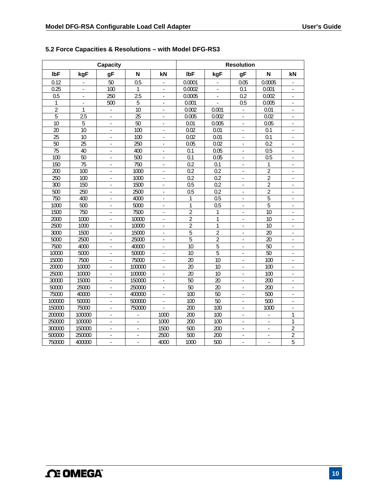|                 |                  | <b>Capacity</b>          |                 |                          |                |                  | <b>Resolution</b>        |                  |                          |
|-----------------|------------------|--------------------------|-----------------|--------------------------|----------------|------------------|--------------------------|------------------|--------------------------|
| <b>IbF</b>      | kgF              | gF                       | N               | kN                       | IbF            | kgF              | gF                       | N                | kN                       |
| 0.12            | L.               | 50                       | 0.5             | ä,                       | 0.0001         | ä,               | 0.05                     | 0.0005           | $\mathbb{Z}$             |
| 0.25            | $\blacksquare$   | 100                      | 1               | $\blacksquare$           | 0.0002         | $\blacksquare$   | 0.1                      | 0.001            | $\blacksquare$           |
| 0.5             | $\blacksquare$   | 250                      | 2.5             | $\overline{\phantom{a}}$ | 0.0005         | ÷,               | 0.2                      | 0.002            | $\overline{\phantom{a}}$ |
| 1               | ÷,               | 500                      | 5               | $\overline{\phantom{a}}$ | 0.001          |                  | 0.5                      | 0.005            | ÷                        |
| $\overline{2}$  | 1                |                          | $\overline{10}$ |                          | 0.002          | 0.001            |                          | 0.01             |                          |
| $\overline{5}$  | $\overline{2.5}$ | L.                       | 25              | L.                       | 0.005          | 0.002            | L.                       | 0.02             | ÷.                       |
| 10              | 5                | ä,                       | 50              | $\blacksquare$           | 0.01           | 0.005            | $\blacksquare$           | 0.05             | $\blacksquare$           |
| $\overline{20}$ | $\overline{10}$  | L.                       | 100             | ä,                       | 0.02           | 0.01             | ä,                       | 0.1              | ÷,                       |
| 25              | $\overline{10}$  | $\overline{\phantom{a}}$ | 100             | ÷,                       | 0.02           | 0.01             | L.                       | 0.1              | ä,                       |
| 50              | 25               |                          | 250             |                          | 0.05           | 0.02             |                          | 0.2              |                          |
| 75              | 40               | $\mathbf{r}$             | 400             | L.                       | 0.1            | 0.05             | L.                       | $\overline{0.5}$ | ÷.                       |
| 100             | 50               | $\overline{\phantom{a}}$ | 500             | $\blacksquare$           | 0.1            | 0.05             | $\overline{\phantom{a}}$ | 0.5              | $\blacksquare$           |
| 150             | $\overline{75}$  | $\overline{\phantom{a}}$ | 750             | $\overline{\phantom{m}}$ | 0.2            | 0.1              | $\overline{\phantom{a}}$ | 1                | $\overline{\phantom{a}}$ |
| 200             | 100              | $\blacksquare$           | 1000            | $\overline{\phantom{a}}$ | 0.2            | 0.2              | ä,                       | $\overline{2}$   | ÷                        |
| 250             | 100              |                          | 1000            |                          | 0.2            | $\overline{0.2}$ |                          | $\overline{2}$   |                          |
| 300             | 150              | $\blacksquare$           | 1500            | ÷,                       | 0.5            | $\overline{0.2}$ | $\Box$                   | $\overline{2}$   | ÷.                       |
| 500             | 250              | $\blacksquare$           | 2500            | $\blacksquare$           | 0.5            | 0.2              | $\blacksquare$           | $\overline{2}$   | $\blacksquare$           |
| 750             | 400              | ÷,                       | 4000            | $\overline{\phantom{a}}$ | $\mathbf{1}$   | 0.5              | ÷,                       | $\overline{5}$   | $\blacksquare$           |
| 1000            | $\overline{500}$ | $\blacksquare$           | 5000            | $\blacksquare$           | 1              | $\overline{0.5}$ | $\blacksquare$           | 5                | $\overline{\phantom{a}}$ |
| 1500            | 750              |                          | 7500            | ä,                       | $\overline{2}$ | 1                |                          | $\overline{10}$  |                          |
| 2000            | 1000             | $\overline{\phantom{a}}$ | 10000           | L.                       | $\overline{2}$ | 1                | ä,                       | $\overline{10}$  | $\overline{\phantom{a}}$ |
| 2500            | 1000             | $\blacksquare$           | 10000           | $\blacksquare$           | $\overline{2}$ | 1                | ä,                       | 10               | ä,                       |
| 3000            | 1500             | $\overline{\phantom{a}}$ | 15000           | $\overline{\phantom{a}}$ | 5              | $\overline{c}$   | ÷,                       | 20               | $\blacksquare$           |
| 5000            | 2500             | ×,                       | 25000           | ÷.                       | $\overline{5}$ | $\overline{2}$   | L.                       | $\overline{20}$  | ×,                       |
| 7500            | 4000             |                          | 40000           |                          | 10             | 5                |                          | $\overline{50}$  |                          |
| 10000           | 5000             | ÷,                       | 50000           | $\overline{a}$           | 10             | $\overline{5}$   | ä,                       | 50               | $\mathbb{Z}$             |
| 15000           | 7500             | $\blacksquare$           | 75000           | $\overline{\phantom{a}}$ | 20             | 10               | $\blacksquare$           | 100              | $\blacksquare$           |
| 20000           | 10000            | $\blacksquare$           | 100000          | $\blacksquare$           | 20             | 10               | $\overline{\phantom{a}}$ | 100              | $\overline{\phantom{a}}$ |
| 25000           | 10000            | $\blacksquare$           | 100000          | $\blacksquare$           | 20             | 10               | $\blacksquare$           | 100              | $\overline{\phantom{a}}$ |
| 30000           | 15000            |                          | 150000          |                          | 50             | 20               |                          | 200              |                          |
| 50000           | 25000            | ä,                       | 250000          | ÷,                       | 50             | $\overline{20}$  | $\Box$                   | 200              | ÷,                       |
| 75000           | 40000            | $\blacksquare$           | 400000          | $\blacksquare$           | 100            | 50               | $\blacksquare$           | 500              | $\blacksquare$           |
| 100000          | 50000            | J.                       | 500000          | $\overline{\phantom{a}}$ | 100            | $\overline{50}$  | ÷,                       | 500              | $\Box$                   |
| 150000          | 75000            | ä,                       | 750000          |                          | 200            | 100              | ä,                       | 1000             | ÷,                       |
| 200000          | 100000           |                          |                 | 1000                     | 200            | 100              |                          |                  | 1                        |
| 250000          | 100000           | L.                       | ä,              | 1000                     | 200            | 100              | L.                       | $\overline{a}$   | 1                        |
| 300000          | 150000           | $\blacksquare$           | ä,              | 1500                     | 500            | 200              | ä,                       | ÷,               | $\overline{2}$           |
| 500000          | 250000           | $\overline{a}$           | ä,              | 2500                     | 500            | 200              | ä,                       | $\overline{a}$   | $\overline{2}$           |
| 750000          | 400000           | $\overline{\phantom{a}}$ | L.              | 4000                     | 1000           | 500              | L.                       | ÷,               | $\overline{5}$           |

### **5.2 Force Capacities & Resolutions – with Model DFG-RS3**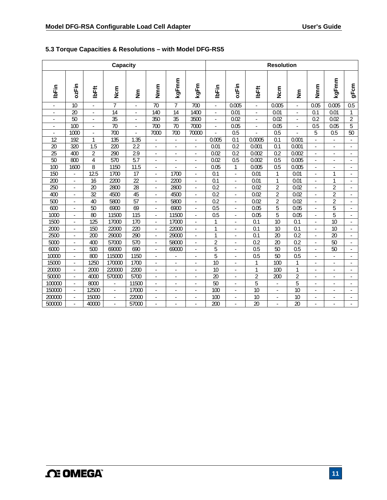# **5.3 Torque Capacities & Resolutions – with Model DFG-RS5**

| Capacity                 |                          |                          |                 |                   |                          |                          |                          | <b>Resolution</b>        |              |                          |                 |                   |                  |                 |                          |
|--------------------------|--------------------------|--------------------------|-----------------|-------------------|--------------------------|--------------------------|--------------------------|--------------------------|--------------|--------------------------|-----------------|-------------------|------------------|-----------------|--------------------------|
| <b>IbFin</b>             | ozFin                    | <b>IbFft</b>             | <b>N</b> cm     | $\tilde{\bar{z}}$ | Nmm                      | kgFmm                    | kgFm                     | <b>IbFin</b>             | ozFin        | IbFft                    | m<br>Su         | $\tilde{\bar{z}}$ | Nmm              | kgFmm           | gFcm                     |
|                          | 10                       |                          | $\overline{7}$  |                   | 70                       | $\overline{7}$           | 700                      |                          | 0.005        |                          | 0.005           |                   | 0.05             | 0.005           | 0.5                      |
|                          | 20                       |                          | 14              |                   | 140                      | 14                       | 1400                     |                          | 0.01         |                          | 0.01            |                   | 0.1              | 0.01            | 1                        |
| ٠                        | 50                       | ÷                        | 35              | ÷                 | 350                      | 35                       | 3500                     | $\blacksquare$           | 0.02         | ÷,                       | 0.02            | $\blacksquare$    | 0.2              | 0.02            | $\overline{2}$           |
| $\overline{\phantom{a}}$ | 100                      | $\overline{\phantom{a}}$ | $\overline{70}$ | $\blacksquare$    | 700                      | 70                       | 7000                     | $\overline{\phantom{a}}$ | 0.05         | $\overline{\phantom{a}}$ | 0.05            | $\blacksquare$    | $\overline{0.5}$ | 0.05            | 5                        |
| $\overline{\phantom{a}}$ | 1000                     | $\overline{\phantom{a}}$ | 700             | ÷,                | 7000                     | 700                      | 70000                    |                          | 0.5          |                          | 0.5             | ÷,                | 5                | 0.5             | 50                       |
| 12                       | 192                      | 1                        | 135             | 1.35              | ä,                       | $\overline{\phantom{a}}$ | ÷,                       | 0.005                    | 0.1          | 0.0005                   | 0.1             | 0.001             | ÷,               | ä,              | ä,                       |
| 20                       | 320                      | 1.5                      | 220             | 2.2               | $\Box$                   | $\overline{\phantom{a}}$ | ÷,                       | 0.01                     | 0.2          | 0.001                    | 0.1             | 0.001             | ÷,               | ä,              | $\mathcal{L}$            |
| 25                       | 400                      | $\overline{2}$           | 290             | 2.9               | $\mathbf{r}$             | ÷,                       | $\sim$                   | 0.02                     | 0.2          | 0.002                    | 0.2             | 0.002             | ÷,               | ä,              | ä,                       |
| 50                       | 800                      | $\overline{4}$           | 570             | $\overline{5.7}$  | $\mathbf{r}$             | ÷,                       | $\sim$                   | 0.02                     | 0.5          | 0.002                    | 0.5             | 0.005             | ä,               | ä,              | ä,                       |
| 100                      | 1600                     | 8                        | 1150            | 11.5              | ä,                       |                          | ÷.                       | 0.05                     | $\mathbf{1}$ | 0.005                    | 0.5             | 0.005             | ä,               |                 |                          |
| 150                      |                          | 12.5                     | 1700            | 17                | ä,                       | 1700                     | ä,                       | 0.1                      | ÷,           | 0.01                     | $\mathbf{1}$    | 0.01              | ä,               | $\mathbf{1}$    |                          |
| 200                      | ä,                       | 16                       | 2200            | $\overline{22}$   | $\mathcal{L}$            | 2200                     | ä,                       | $\overline{0.1}$         | ÷,           | 0.01                     | $\mathbf{1}$    | 0.01              | L.               | $\mathbf{1}$    | $\mathbf{r}$             |
| 250                      | ÷.                       | 20                       | 2800            | $\overline{28}$   | ÷.                       | 2800                     | $\overline{\phantom{a}}$ | $\overline{0.2}$         | ä,           | 0.02                     | $\overline{2}$  | 0.02              | ä,               | $\overline{2}$  |                          |
| 400                      | ÷,                       | $\overline{32}$          | 4500            | 45                | ÷,                       | 4500                     | ÷,                       | $\overline{0.2}$         | ä,           | 0.02                     | $\overline{2}$  | 0.02              | ä,               | $\overline{2}$  |                          |
| 500                      | ÷                        | 40                       | 5800            | 57                | ÷.                       | 5800                     | ÷                        | 0.2                      | ÷.           | 0.02                     | $\overline{2}$  | 0.02              | ÷.               | $\overline{2}$  | ä,                       |
| 600                      | L.                       | 50                       | 6900            | 69                | L.                       | 6900                     |                          | $\overline{0.5}$         | J.           | 0.05                     | 5               | 0.05              | ×,               | 5               | ä,                       |
| 1000                     |                          | 80                       | 11500           | 115               | ä,                       | 11500                    | ä,                       | 0.5                      |              | 0.05                     | 5               | 0.05              |                  | 5               | $\blacksquare$           |
| 1500                     |                          | 125                      | 17000           | 170               | ÷                        | 17000                    | ×.                       | 1                        |              | 0.1                      | $\overline{10}$ | 0.1               |                  | $\overline{10}$ | $\blacksquare$           |
| 2000                     |                          | 150                      | 22000           | 220               |                          | 22000                    |                          | 1                        |              | 0.1                      | $\overline{10}$ | 0.1               |                  | $\overline{10}$ |                          |
| 2500                     |                          | 200                      | 29000           | 290               | $\blacksquare$           | 29000                    |                          | $\mathbf{1}$             |              | 0.1                      | 20              | 0.2               |                  | 20              | $\overline{\phantom{a}}$ |
| 5000                     |                          | 400                      | 57000           | 570               | $\overline{\phantom{a}}$ | 58000                    | $\blacksquare$           | $\overline{2}$           |              | 0.2                      | 20              | 0.2               | ÷,               | 50              | $\overline{\phantom{a}}$ |
| 6000                     | $\overline{\phantom{a}}$ | 500                      | 69000           | 690               | $\overline{\phantom{a}}$ | 69000                    | $\blacksquare$           | 5                        | ä,           | 0.5                      | $\overline{50}$ | 0.5               | ÷,               | 50              | ä,                       |
| 10000                    | ÷                        | 800                      | 115000          | 1150              | $\mathbf{r}$             |                          | ä,                       | 5                        | ä,           | 0.5                      | $\overline{50}$ | 0.5               | ä,               | ä,              | ÷.                       |
| 15000                    | ÷.                       | 1250                     | 170000          | 1700              | $\blacksquare$           | $\overline{\phantom{a}}$ | $\overline{\phantom{a}}$ | $\overline{10}$          | ä,           | $\mathbf{1}$             | 100             | 1                 | ä,               | $\mathbf{r}$    | $\mathbf{r}$             |
| 20000                    | ÷.                       | 2000                     | 220000          | 2200              | $\blacksquare$           | ä,                       | ä,                       | 10                       | ä,           | $\mathbf{1}$             | 100             | 1                 | ä,               | ä,              | ä,                       |
| 50000                    | ÷.                       | 4000                     | 570000          | 5700              | $\mathbf{r}$             | J.                       | ä,                       | $\overline{20}$          | L,           | $\overline{2}$           | 200             | $\overline{2}$    | ä,               | ä,              | ä,                       |
| 100000                   | ÷.                       | 8000                     | ÷.              | 11500             | ÷.                       | ÷,                       | $\sim$                   | 50                       | ä,           | 5                        | ä,              | 5                 | ä,               | ÷.              | ä,                       |
| 150000                   |                          | 12500                    | ÷.              | 17000             | ä,                       |                          |                          | 100                      |              | $\overline{10}$          | L.              | $\overline{10}$   |                  |                 |                          |
| 200000                   | ä,                       | 15000                    | ä,              | 22000             | ÷,                       | ÷,                       | $\overline{a}$           | 100                      | ä,           | 10                       | $\overline{a}$  | 10                | ÷,               | L.              |                          |
| 500000                   |                          | 40000                    |                 | 57000             |                          |                          |                          | 200                      |              | $\overline{20}$          |                 | 20                |                  |                 |                          |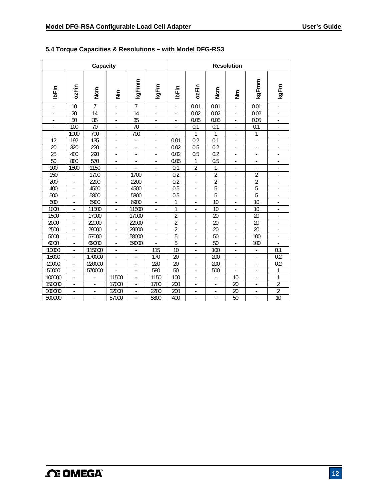|                              |                          | Capacity                 |                          |                          |                          | <b>Resolution</b>        |                          |                          |                              |                          |                          |  |  |
|------------------------------|--------------------------|--------------------------|--------------------------|--------------------------|--------------------------|--------------------------|--------------------------|--------------------------|------------------------------|--------------------------|--------------------------|--|--|
| <b>IbFin</b>                 | ozFin                    | N <sub>Cm</sub>          | $\tilde{\bar{z}}$        | kgFmm                    | kgFm                     | IbFin                    | ozFin                    | <b>S</b><br>Non          |                              | kgFmm                    | kgFm                     |  |  |
| ÷.                           | 10                       | 7                        | ÷,                       | $\overline{7}$           | ÷.                       | ä,                       | 0.01                     | 0.01                     | ä,                           | 0.01                     |                          |  |  |
| $\qquad \qquad \blacksquare$ | 20                       | 14                       | $\overline{\phantom{0}}$ | 14                       | $\overline{\phantom{a}}$ | $\overline{\phantom{0}}$ | 0.02                     | 0.02                     | $\qquad \qquad \blacksquare$ | 0.02                     | $\frac{1}{2}$            |  |  |
| ÷,                           | 50                       | 35                       | ÷                        | 35                       | $\overline{\phantom{a}}$ | ÷                        | 0.05                     | 0.05                     | ÷                            | 0.05                     | ÷,                       |  |  |
| ÷,                           | 100                      | 70                       | ä,                       | 70                       | $\blacksquare$           | $\blacksquare$           | 0.1                      | 0.1                      | $\blacksquare$               | 0.1                      | $\blacksquare$           |  |  |
|                              | 1000                     | 700                      | L.                       | 700                      | L                        |                          | 1                        | 1                        | L.                           | 1                        |                          |  |  |
| 12                           | $\overline{192}$         | 135                      | $\frac{1}{2}$            | ÷,                       | ä,                       | 0.01                     | $\overline{0.2}$         | 0.1                      | ä,                           | ÷,                       |                          |  |  |
| 20                           | 320                      | 220                      | ä,                       | ٠                        | $\sim$                   | 0.02                     | 0.5                      | 0.2                      | $\blacksquare$               | $\overline{\phantom{a}}$ | $\overline{a}$           |  |  |
| 25                           | 400                      | 290                      | ä,                       | ٠                        | ٠                        | 0.02                     | 0.5                      | 0.2                      | $\overline{\phantom{a}}$     | ÷,                       | ä,                       |  |  |
| $\overline{50}$              | 800                      | 570                      | ä,                       | ä,                       | ä,                       | 0.05                     | $\mathbf{1}$             | 0.5                      | ÷,                           | ÷,                       | ÷,                       |  |  |
| 100                          | 1600                     | 1150                     | $\blacksquare$           |                          |                          | 0.1                      | $\overline{2}$           | 1                        |                              | $\blacksquare$           | -                        |  |  |
| 150                          | ÷,                       | 1700                     | $\blacksquare$           | 1700                     | $\overline{\phantom{a}}$ | 0.2                      | ÷,                       | $\overline{2}$           | $\blacksquare$               | 2                        | $\blacksquare$           |  |  |
| 200                          | $\mathcal{L}$            | 2200                     | $\blacksquare$           | 2200                     | ä,                       | 0.2                      | $\mathcal{L}$            | $\overline{2}$           | $\blacksquare$               | 2                        | $\blacksquare$           |  |  |
| 400                          | ä,                       | 4500                     | ä,                       | 4500                     | ä,                       | 0.5                      | ÷.                       | 5                        | ÷,                           | 5                        |                          |  |  |
| 500                          | $\overline{\phantom{a}}$ | 5800                     | ÷,                       | 5800                     | $\overline{\phantom{a}}$ | 0.5                      | $\overline{\phantom{a}}$ | 5                        | $\overline{\phantom{a}}$     | 5                        |                          |  |  |
| 600                          | ä,                       | 6900                     | ÷,                       | 6900                     | ä,                       | 1                        | $\blacksquare$           | 10                       | ÷,                           | 10                       | ä,                       |  |  |
| 1000                         | ÷,                       | 11500                    | ä,                       | 11500                    | $\overline{\phantom{a}}$ | 1                        | $\blacksquare$           | 10                       | ÷,                           | 10                       | ÷,                       |  |  |
| 1500                         |                          | 17000                    |                          | 17000                    | ä,                       | $\overline{2}$           | ÷,                       | 20                       | ÷,                           | 20                       | ä,                       |  |  |
| 2000                         | ÷,                       | 22000                    | $\frac{1}{2}$            | 22000                    | $\frac{1}{2}$            | $\overline{2}$           | $\overline{\phantom{a}}$ | 20                       | $\blacksquare$               | 20                       | $\overline{\phantom{a}}$ |  |  |
| 2500                         | $\blacksquare$           | 29000                    | $\blacksquare$           | 29000                    | $\blacksquare$           | $\overline{2}$           | $\overline{\phantom{a}}$ | 20                       | $\overline{\phantom{a}}$     | 20                       | $\blacksquare$           |  |  |
| 5000                         | ä,                       | 57000                    | ä,                       | 58000                    | ÷,                       | $\overline{5}$           | $\overline{\phantom{a}}$ | 50                       | ÷                            | 100                      | $\blacksquare$           |  |  |
| 6000                         | $\blacksquare$           | 69000                    | ä,                       | 69000                    |                          | 5                        | $\overline{\phantom{a}}$ | 50                       | ÷                            | 100                      |                          |  |  |
| 10000                        | $\blacksquare$           | 115000                   | ä,                       | ٠                        | 115                      | 10                       | $\overline{\phantom{a}}$ | 100                      | $\frac{1}{2}$                | $\overline{\phantom{a}}$ | 0.1                      |  |  |
| 15000                        | ÷,                       | 170000                   | ä,                       | ä,                       | 170                      | 20                       | $\blacksquare$           | 200                      | ä,                           | ÷,                       | 0.2                      |  |  |
| 20000                        | ÷,                       | 220000                   | ä,                       | ä,                       | 220                      | 20                       | $\overline{\phantom{a}}$ | 200                      | ä,                           | ÷,                       | 0.2                      |  |  |
| 50000                        |                          | 570000                   |                          |                          | 580                      | $\overline{50}$          |                          | 500                      |                              |                          | 1                        |  |  |
| 100000                       | $\overline{\phantom{a}}$ |                          | 11500                    | $\overline{\phantom{0}}$ | 1150                     | 100                      | $\overline{\phantom{a}}$ |                          | 10                           | $\overline{\phantom{a}}$ | 1                        |  |  |
| 150000                       | $\overline{\phantom{a}}$ | $\overline{\phantom{a}}$ | 17000                    | ÷,                       | 1700                     | 200                      | $\overline{\phantom{a}}$ | $\overline{\phantom{a}}$ | 20                           | ÷                        | $\overline{2}$           |  |  |
| 200000                       | ä,                       | ä,                       | 22000                    | ÷,                       | 2200                     | 200                      | ä,                       | ä,                       | 20                           | ÷,                       | 2                        |  |  |
| 500000                       |                          | ÷,                       | 57000                    |                          | 5800                     | 400                      |                          |                          | 50                           |                          | 10                       |  |  |

### **5.4 Torque Capacities & Resolutions – with Model DFG-RS3**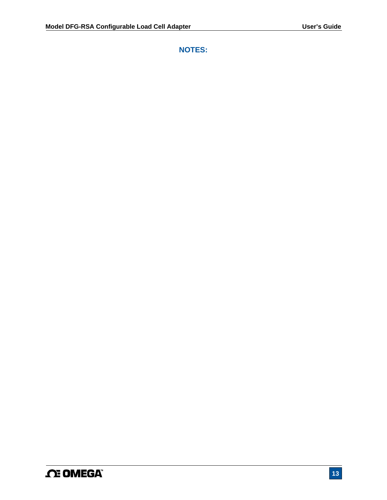**NOTES:**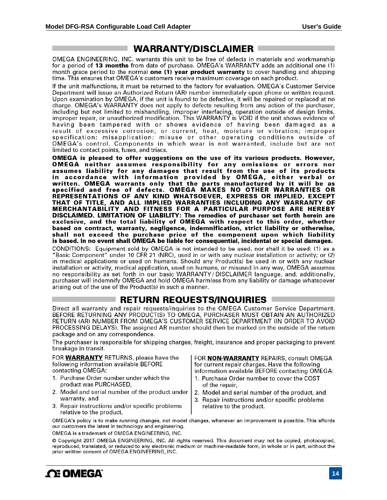# **WARRANTY/DISCLAIMER**

OMEGA ENGINEERING, INC. warrants this unit to be free of defects in materials and workmanship for a period of 13 months from date of purchase. OMEGA's WARRANTY adds an additional one (1) month grace period to the normal one (1) year product warranty to cover handling and shipping time. This ensures that OMEGA's customers receive maximum coverage on each product.

If the unit malfunctions, it must be returned to the factory for evaluation. OMEGA's Customer Service Department will issue an Authorized Return (AR) number immediately upon phone or written request. Upon examination by OMEGA, if the unit is found to be defective, it will be repaired or replaced at no charge. OMEGA's WARRANTY does not apply to defects resulting from any action of the purchaser, including but not limited to mishandling, improper interfacing, operation outside of design limits, improper repair, or unauthorized modification. This WARRANTY is VOID if the unit shows evidence of having been tampered with or shows evidence of having been damaged as a result of excessive corrosion; or current, heat, moisture or vibration; improper specification; misapplication; misuse or other operating conditions outside of OMEGA's control. Components in which wear is not warranted, include but are not limited to contact points, fuses, and triacs.

OMEGA is pleased to offer suggestions on the use of its various products. However, OMEGA neither assumes responsibility for any omissions or errors nor assumes liability for any damages that result from the use of its products in accordance with information provided by OMEGA, either verbal or written. OMEGA warrants only that the parts manufactured by it will be as<br>specified and free of defects. OMEGA MAKES NO OTHER WARRANTIES OR REPRESENTATIONS OF ANY KIND WHATSOEVER, EXPRESS OR IMPLIED, EXCEPT THAT OF TITLE, AND ALL IMPLIED WARRANTIES INCLUDING ANY WARRANTY OF MERCHANTABILITY AND FITNESS FOR A PARTICULAR PURPOSE ARE HEREBY DISCLAIMED. LIMITATION OF LIABILITY: The remedies of purchaser set forth herein are exclusive, and the total liability of OMEGA with respect to this order, whether based on contract, warranty, negligence, indemnification, strict liability or otherwise, shall not exceed the purchase price of the component upon which liability is based. In no event shall OMEGA be liable for consequential, incidental or special damages.

CONDITIONS: Equipment sold by OMEGA is not intended to be used, nor shall it be used; (1) as a "Basic Component" under 10 CFR 21 (NRC), used in or with any nuclear installation or activity; or (2) in medical applications or used on humans. Should any Product(s) be used in or with any nuclear installation or activity, medical application, used on humans, or misused in any way, OMEGA assumes no responsibility as set forth in our basic WARRANTY/DISCLAIMER language, and, additionally, purchaser will indemnify OMEGA and hold OMEGA harmless from any liability or damage whatsoever arising out of the use of the Product(s) in such a manner.

# $\blacksquare$  return requests/inquiries  $\blacksquare$

Direct all warranty and repair requests/inquiries to the OMEGA Customer Service Department. BEFORE RETURNING ANY PRODUCT(S) TO OMEGA, PURCHASER MUST OBTAIN AN AUTHORIZED RETURN (AR) NUMBER FROM OMEGA'S CUSTOMER SERVICE DEPARTMENT (IN ORDER TO AVOID PROCESSING DELAYS). The assigned AR number should then be marked on the outside of the return package and on any correspondence.

The purchaser is responsible for shipping charges, freight, insurance and proper packaging to prevent breakage in transit.

FOR **WARRANTY** RETURNS, please have the following information available BEFORE contacting OMEGA:

- 1. Purchase Order number under which the product was PURCHASED,
- 2. Model and serial number of the product under warranty, and
- 3. Repair instructions and/or specific problems relative to the product.

FOR **NON-WARRANTY** REPAIRS, consult OMEGA for current repair charges. Have the following information available BEFORE contacting OMEGA:

- 1. Purchase Order number to cover the COST of the repair,
- 2. Model and serial number of the product, and
- 3. Repair instructions and/or specific problems relative to the product.

OMEGA's policy is to make running changes, not model changes, whenever an improvement is possible. This affords our customers the latest in technology and engineering.

OMEGA is a trademark of OMEGA ENGINEERING, INC.

© Copyright 2017 OMEGA ENGINEERING, INC. All rights reserved. This document may not be copied, photocopied, reproduced, translated, or reduced to any electronic medium or machine-readable form, in whole or in part, without the prior written consent of OMEGA ENGINEERING, INC.